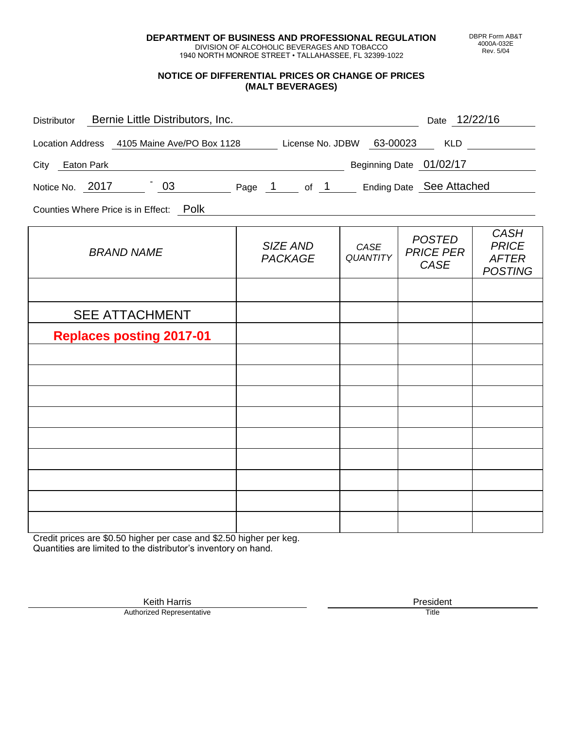**DEPARTMENT OF BUSINESS AND PROFESSIONAL REGULATION** DIVISION OF ALCOHOLIC BEVERAGES AND TOBACCO

1940 NORTH MONROE STREET • TALLAHASSEE, FL 32399-1022

## **NOTICE OF DIFFERENTIAL PRICES OR CHANGE OF PRICES (MALT BEVERAGES)**

| Distributor Bernie Little Distributors, Inc.                              |                            |                         | Date 12/22/16                             |                                                               |
|---------------------------------------------------------------------------|----------------------------|-------------------------|-------------------------------------------|---------------------------------------------------------------|
| Location Address 4105 Maine Ave/PO Box 1128 License No. JDBW 63-00023 KLD |                            |                         |                                           |                                                               |
| City Eaton Park                                                           |                            |                         | Beginning Date 01/02/17                   |                                                               |
| Notice No. 2017 103 Page 1 of 1 Ending Date See Attached                  |                            |                         |                                           |                                                               |
| Counties Where Price is in Effect: Polk                                   |                            |                         |                                           |                                                               |
| <b>BRAND NAME</b>                                                         | SIZE AND<br><b>PACKAGE</b> | CASE<br><b>QUANTITY</b> | <b>POSTED</b><br><b>PRICE PER</b><br>CASE | <b>CASH</b><br><b>PRICE</b><br><b>AFTER</b><br><b>POSTING</b> |
|                                                                           |                            |                         |                                           |                                                               |
| <b>SEE ATTACHMENT</b>                                                     |                            |                         |                                           |                                                               |
| <b>Replaces posting 2017-01</b>                                           |                            |                         |                                           |                                                               |
|                                                                           |                            |                         |                                           |                                                               |
|                                                                           |                            |                         |                                           |                                                               |
|                                                                           |                            |                         |                                           |                                                               |
|                                                                           |                            |                         |                                           |                                                               |
|                                                                           |                            |                         |                                           |                                                               |
|                                                                           |                            |                         |                                           |                                                               |
|                                                                           |                            |                         |                                           |                                                               |
|                                                                           |                            |                         |                                           |                                                               |
|                                                                           |                            |                         |                                           |                                                               |

Credit prices are \$0.50 higher per case and \$2.50 higher per keg. Quantities are limited to the distributor's inventory on hand.

> Keith Harris **President** President **President** President **President** President **President** Authorized Representative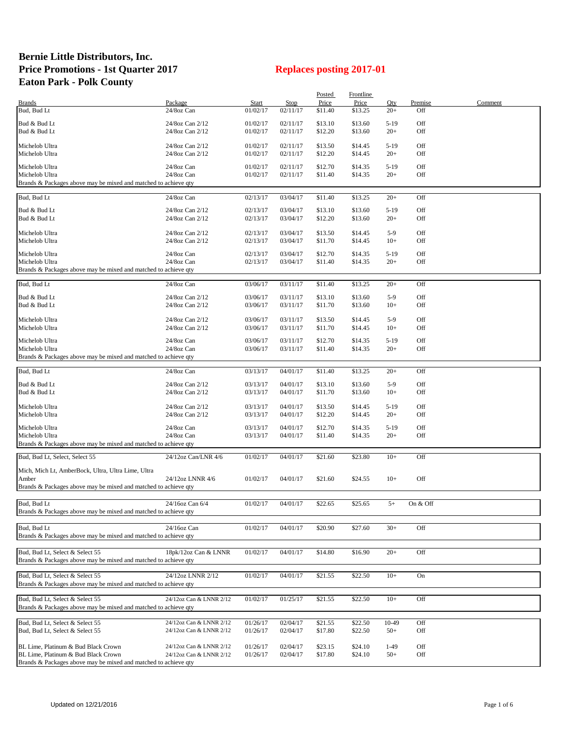## **Bernie Little Distributors, Inc. Price Promotions - 1st Quarter 2017 Replaces posting 2017-01 Eaton Park - Polk County**

|                                                                 |                         |              |             | <b>Posted</b> | <b>Frontline</b> |        |          |         |
|-----------------------------------------------------------------|-------------------------|--------------|-------------|---------------|------------------|--------|----------|---------|
| <b>Brands</b>                                                   | Package                 | <b>Start</b> | <b>Stop</b> | Price         | Price            | Qty    | Premise  | Comment |
| Bud, Bud Lt                                                     | 24/8oz Can              | 01/02/17     | 02/11/17    | \$11.40       | \$13.25          | $20+$  | Off      |         |
|                                                                 |                         |              |             |               |                  |        |          |         |
| Bud & Bud Lt                                                    | 24/8oz Can 2/12         | 01/02/17     | 02/11/17    | \$13.10       | \$13.60          | $5-19$ | Off      |         |
| Bud & Bud Lt                                                    | 24/8oz Can 2/12         | 01/02/17     | 02/11/17    | \$12.20       | \$13.60          | $20+$  | Off      |         |
|                                                                 |                         |              |             |               |                  |        |          |         |
| Michelob Ultra                                                  | 24/8oz Can 2/12         | 01/02/17     | 02/11/17    | \$13.50       | \$14.45          | $5-19$ | Off      |         |
| Michelob Ultra                                                  | 24/8oz Can 2/12         | 01/02/17     | 02/11/17    | \$12.20       | \$14.45          | $20+$  | Off      |         |
| Michelob Ultra                                                  | 24/8oz Can              | 01/02/17     | 02/11/17    | \$12.70       | \$14.35          | $5-19$ | Off      |         |
|                                                                 |                         |              |             |               |                  |        |          |         |
| Michelob Ultra                                                  | 24/8oz Can              | 01/02/17     | 02/11/17    | \$11.40       | \$14.35          | $20+$  | Off      |         |
| Brands & Packages above may be mixed and matched to achieve qty |                         |              |             |               |                  |        |          |         |
| Bud, Bud Lt                                                     | 24/8oz Can              | 02/13/17     | 03/04/17    | \$11.40       | \$13.25          | $20+$  | Off      |         |
|                                                                 |                         |              |             |               |                  |        |          |         |
| Bud & Bud Lt                                                    | 24/8oz Can 2/12         | 02/13/17     | 03/04/17    | \$13.10       | \$13.60          | $5-19$ | Off      |         |
| Bud & Bud Lt                                                    | 24/8oz Can 2/12         | 02/13/17     | 03/04/17    | \$12.20       | \$13.60          | $20+$  | Off      |         |
|                                                                 |                         |              |             |               |                  |        |          |         |
| Michelob Ultra                                                  | 24/8oz Can 2/12         | 02/13/17     | 03/04/17    | \$13.50       | \$14.45          | $5-9$  | Off      |         |
| Michelob Ultra                                                  | 24/8oz Can 2/12         | 02/13/17     | 03/04/17    | \$11.70       | \$14.45          | $10+$  | Off      |         |
|                                                                 |                         |              |             |               |                  |        |          |         |
| Michelob Ultra                                                  | 24/8oz Can              | 02/13/17     | 03/04/17    | \$12.70       | \$14.35          | $5-19$ | Off      |         |
| Michelob Ultra                                                  | 24/8oz Can              | 02/13/17     | 03/04/17    | \$11.40       | \$14.35          | $20+$  | Off      |         |
| Brands & Packages above may be mixed and matched to achieve qty |                         |              |             |               |                  |        |          |         |
|                                                                 |                         |              |             |               |                  |        |          |         |
| Bud, Bud Lt                                                     | 24/8oz Can              | 03/06/17     | 03/11/17    | \$11.40       | \$13.25          | $20+$  | Off      |         |
| Bud & Bud Lt                                                    | 24/8oz Can 2/12         | 03/06/17     | 03/11/17    | \$13.10       | \$13.60          | $5-9$  | Off      |         |
|                                                                 |                         |              |             |               |                  |        |          |         |
| Bud & Bud Lt                                                    | 24/8oz Can 2/12         | 03/06/17     | 03/11/17    | \$11.70       | \$13.60          | $10+$  | Off      |         |
| Michelob Ultra                                                  | 24/8oz Can 2/12         | 03/06/17     | 03/11/17    | \$13.50       | \$14.45          | $5-9$  | Off      |         |
| Michelob Ultra                                                  | 24/8oz Can 2/12         | 03/06/17     | 03/11/17    | \$11.70       | \$14.45          | $10+$  | Off      |         |
|                                                                 |                         |              |             |               |                  |        |          |         |
| Michelob Ultra                                                  | 24/8oz Can              | 03/06/17     | 03/11/17    | \$12.70       | \$14.35          | $5-19$ | Off      |         |
| Michelob Ultra                                                  | 24/8oz Can              | 03/06/17     | 03/11/17    | \$11.40       | \$14.35          | $20+$  | Off      |         |
| Brands & Packages above may be mixed and matched to achieve qty |                         |              |             |               |                  |        |          |         |
|                                                                 |                         |              |             |               |                  |        |          |         |
| Bud, Bud Lt                                                     | 24/8oz Can              | 03/13/17     | 04/01/17    | \$11.40       | \$13.25          | $20+$  | Off      |         |
|                                                                 |                         |              |             |               |                  |        |          |         |
| Bud & Bud Lt                                                    | 24/8oz Can 2/12         | 03/13/17     | 04/01/17    | \$13.10       | \$13.60          | $5-9$  | Off      |         |
| Bud & Bud Lt                                                    | 24/8oz Can 2/12         | 03/13/17     | 04/01/17    | \$11.70       | \$13.60          | $10+$  | Off      |         |
|                                                                 |                         |              |             |               |                  |        |          |         |
| Michelob Ultra                                                  | 24/8oz Can 2/12         | 03/13/17     | 04/01/17    | \$13.50       | \$14.45          | $5-19$ | Off      |         |
| Michelob Ultra                                                  | 24/8oz Can 2/12         | 03/13/17     | 04/01/17    | \$12.20       | \$14.45          | $20+$  | Off      |         |
|                                                                 |                         |              |             |               |                  |        |          |         |
| Michelob Ultra                                                  | 24/8oz Can              | 03/13/17     | 04/01/17    | \$12.70       | \$14.35          | $5-19$ | Off      |         |
| Michelob Ultra                                                  | 24/8oz Can              | 03/13/17     | 04/01/17    | \$11.40       | \$14.35          | $20+$  | Off      |         |
| Brands & Packages above may be mixed and matched to achieve qty |                         |              |             |               |                  |        |          |         |
| Bud, Bud Lt, Select, Select 55                                  | 24/12oz Can/LNR 4/6     | 01/02/17     | 04/01/17    | \$21.60       | \$23.80          | $10+$  | Off      |         |
|                                                                 |                         |              |             |               |                  |        |          |         |
| Mich, Mich Lt, AmberBock, Ultra, Ultra Lime, Ultra              |                         |              |             |               |                  |        |          |         |
| Amber                                                           | 24/12oz LNNR 4/6        | 01/02/17     | 04/01/17    | \$21.60       | \$24.55          | $10+$  | Off      |         |
| Brands & Packages above may be mixed and matched to achieve qty |                         |              |             |               |                  |        |          |         |
|                                                                 |                         |              |             |               |                  |        |          |         |
| Bud, Bud Lt                                                     | 24/16oz Can 6/4         | 01/02/17     | 04/01/17    | \$22.65       | \$25.65          | $5+$   | On & Off |         |
| Brands & Packages above may be mixed and matched to achieve qty |                         |              |             |               |                  |        |          |         |
|                                                                 |                         |              |             |               |                  |        |          |         |
| Bud, Bud Lt                                                     | 24/16oz Can             | 01/02/17     | 04/01/17    | \$20.90       | \$27.60          | $30+$  | Off      |         |
| Brands & Packages above may be mixed and matched to achieve gty |                         |              |             |               |                  |        |          |         |
|                                                                 |                         |              |             |               |                  |        |          |         |
|                                                                 |                         |              |             |               |                  |        |          |         |
| Bud, Bud Lt, Select & Select 55                                 | 18pk/12oz Can & LNNR    | 01/02/17     | 04/01/17    | \$14.80       | \$16.90          | $20+$  | Off      |         |
| Brands & Packages above may be mixed and matched to achieve qty |                         |              |             |               |                  |        |          |         |
|                                                                 |                         |              |             |               |                  |        |          |         |
| Bud, Bud Lt, Select & Select 55                                 | 24/12oz LNNR 2/12       | 01/02/17     | 04/01/17    | \$21.55       | \$22.50          | $10+$  | On       |         |
| Brands & Packages above may be mixed and matched to achieve qty |                         |              |             |               |                  |        |          |         |
|                                                                 |                         |              |             |               |                  |        |          |         |
| Bud, Bud Lt, Select & Select 55                                 | 24/12oz Can & LNNR 2/12 | 01/02/17     | 01/25/17    | \$21.55       | \$22.50          | $10+$  | Off      |         |
| Brands & Packages above may be mixed and matched to achieve gty |                         |              |             |               |                  |        |          |         |
|                                                                 |                         |              |             |               |                  |        |          |         |
| Bud, Bud Lt, Select & Select 55                                 | 24/12oz Can & LNNR 2/12 | 01/26/17     | 02/04/17    | \$21.55       | \$22.50          | 10-49  | Off      |         |
| Bud, Bud Lt, Select & Select 55                                 | 24/12oz Can & LNNR 2/12 | 01/26/17     | 02/04/17    | \$17.80       | \$22.50          | $50+$  | Off      |         |
|                                                                 |                         |              |             |               |                  |        |          |         |
| BL Lime, Platinum & Bud Black Crown                             | 24/12oz Can & LNNR 2/12 | 01/26/17     | 02/04/17    | \$23.15       | \$24.10          | $1-49$ | Off      |         |
| BL Lime, Platinum & Bud Black Crown                             | 24/12oz Can & LNNR 2/12 | 01/26/17     | 02/04/17    | \$17.80       | \$24.10          | $50+$  | Off      |         |
| Brands & Packages above may be mixed and matched to achieve qty |                         |              |             |               |                  |        |          |         |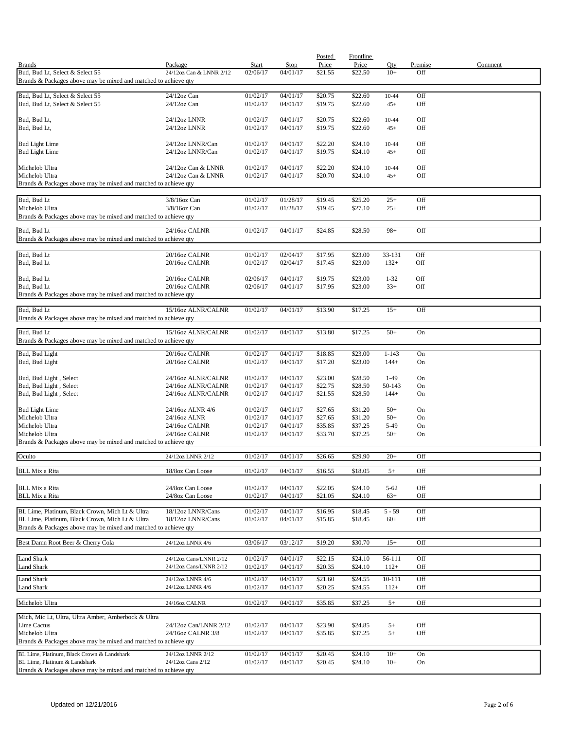|                                                                                                  |                                |                      |                      | Posted             | Frontline          |               |          |         |
|--------------------------------------------------------------------------------------------------|--------------------------------|----------------------|----------------------|--------------------|--------------------|---------------|----------|---------|
| <b>Brands</b>                                                                                    | Package                        | Start                | <b>Stop</b>          | Price              | Price              | Qty           | Premise  | Comment |
| Bud, Bud Lt, Select & Select 55                                                                  | 24/12oz Can & LNNR 2/12        | 02/06/17             | 04/01/17             | \$21.55            | \$22.50            | $10+$         | Off      |         |
| Brands & Packages above may be mixed and matched to achieve qty                                  |                                |                      |                      |                    |                    |               |          |         |
| Bud, Bud Lt, Select & Select 55                                                                  | 24/12oz Can                    | 01/02/17             | 04/01/17             | \$20.75            | \$22.60            | 10-44         | Off      |         |
| Bud, Bud Lt, Select & Select 55                                                                  | $24/12$ oz Can                 | 01/02/17             | 04/01/17             | \$19.75            | \$22.60            | $45+$         | Off      |         |
|                                                                                                  |                                |                      |                      |                    |                    |               |          |         |
| Bud, Bud Lt,                                                                                     | 24/12oz LNNR                   | 01/02/17             | 04/01/17             | \$20.75            | \$22.60            | 10-44         | Off      |         |
| Bud, Bud Lt,                                                                                     | 24/12oz LNNR                   | 01/02/17             | 04/01/17             | \$19.75            | \$22.60            | $45+$         | Off      |         |
| <b>Bud Light Lime</b>                                                                            | 24/12oz LNNR/Can               | 01/02/17             | 04/01/17             | \$22.20            | \$24.10            | 10-44         | Off      |         |
| <b>Bud Light Lime</b>                                                                            | 24/12oz LNNR/Can               | 01/02/17             | 04/01/17             | \$19.75            | \$24.10            | $45+$         | Off      |         |
|                                                                                                  |                                |                      |                      |                    |                    |               |          |         |
| Michelob Ultra                                                                                   | 24/12oz Can & LNNR             | 01/02/17             | 04/01/17             | \$22.20            | \$24.10            | 10-44         | Off      |         |
| Michelob Ultra                                                                                   | 24/12oz Can & LNNR             | 01/02/17             | 04/01/17             | \$20.70            | \$24.10            | $45+$         | Off      |         |
| Brands & Packages above may be mixed and matched to achieve qty                                  |                                |                      |                      |                    |                    |               |          |         |
|                                                                                                  | 3/8/16oz Can                   |                      |                      |                    | \$25.20            | $25+$         | Off      |         |
| Bud, Bud Lt<br>Michelob Ultra                                                                    | $3/8/16$ oz Can                | 01/02/17<br>01/02/17 | 01/28/17<br>01/28/17 | \$19.45<br>\$19.45 | \$27.10            | $25+$         | Off      |         |
| Brands & Packages above may be mixed and matched to achieve qty                                  |                                |                      |                      |                    |                    |               |          |         |
|                                                                                                  |                                |                      |                      |                    |                    |               |          |         |
| Bud, Bud Lt                                                                                      | 24/16oz CALNR                  | 01/02/17             | 04/01/17             | \$24.85            | \$28.50            | $98+$         | Off      |         |
| Brands & Packages above may be mixed and matched to achieve qty                                  |                                |                      |                      |                    |                    |               |          |         |
| Bud, Bud Lt                                                                                      | 20/16oz CALNR                  | 01/02/17             | 02/04/17             | \$17.95            | \$23.00            | 33-131        | Off      |         |
| Bud, Bud Lt                                                                                      | 20/16oz CALNR                  | 01/02/17             | 02/04/17             | \$17.45            | \$23.00            | $132+$        | Off      |         |
|                                                                                                  |                                |                      |                      |                    |                    |               |          |         |
| Bud, Bud Lt                                                                                      | 20/16oz CALNR                  | 02/06/17             | 04/01/17             | \$19.75            | \$23.00            | $1 - 32$      | Off      |         |
| Bud, Bud Lt                                                                                      | 20/16oz CALNR                  | 02/06/17             | 04/01/17             | \$17.95            | \$23.00            | $33+$         | Off      |         |
| Brands & Packages above may be mixed and matched to achieve qty                                  |                                |                      |                      |                    |                    |               |          |         |
|                                                                                                  |                                |                      |                      |                    |                    |               |          |         |
| Bud, Bud Lt                                                                                      | 15/16oz ALNR/CALNR             | 01/02/17             | 04/01/17             | \$13.90            | \$17.25            | $15+$         | Off      |         |
| Brands & Packages above may be mixed and matched to achieve qty                                  |                                |                      |                      |                    |                    |               |          |         |
| Bud, Bud Lt                                                                                      | 15/16oz ALNR/CALNR             | 01/02/17             | 04/01/17             | \$13.80            | \$17.25            | $50+$         | On       |         |
| Brands & Packages above may be mixed and matched to achieve qty                                  |                                |                      |                      |                    |                    |               |          |         |
| Bud, Bud Light                                                                                   | 20/16oz CALNR                  | 01/02/17             | 04/01/17             | \$18.85            | \$23.00            | $1 - 143$     | On       |         |
| Bud, Bud Light                                                                                   | 20/16oz CALNR                  | 01/02/17             | 04/01/17             | \$17.20            | \$23.00            | $144+$        | On       |         |
|                                                                                                  |                                |                      |                      |                    |                    |               |          |         |
| Bud, Bud Light, Select                                                                           | 24/16oz ALNR/CALNR             | 01/02/17             | 04/01/17             | \$23.00            | \$28.50            | $1-49$        | On       |         |
| Bud, Bud Light, Select                                                                           | 24/16oz ALNR/CALNR             | 01/02/17             | 04/01/17             | \$22.75            | \$28.50            | 50-143        | On       |         |
| Bud, Bud Light, Select                                                                           | 24/16oz ALNR/CALNR             | 01/02/17             | 04/01/17             | \$21.55            | \$28.50            | $144+$        | On       |         |
|                                                                                                  |                                |                      |                      |                    |                    |               |          |         |
| <b>Bud Light Lime</b>                                                                            | 24/16oz ALNR 4/6               | 01/02/17             | 04/01/17             | \$27.65            | \$31.20            | $50+$         | On       |         |
| Michelob Ultra                                                                                   | 24/16oz ALNR                   | 01/02/17             | 04/01/17             | \$27.65            | \$31.20            | $50+$         | On       |         |
| Michelob Ultra<br>Michelob Ultra                                                                 | 24/16oz CALNR<br>24/16oz CALNR | 01/02/17<br>01/02/17 | 04/01/17<br>04/01/17 | \$35.85<br>\$33.70 | \$37.25<br>\$37.25 | 5-49<br>$50+$ | On<br>On |         |
| Brands & Packages above may be mixed and matched to achieve qty                                  |                                |                      |                      |                    |                    |               |          |         |
|                                                                                                  |                                |                      |                      |                    |                    |               |          |         |
| Oculto                                                                                           | 24/12oz LNNR 2/12              | 01/02/17             | 04/01/17             | \$26.65            | \$29.90            | $20+$         | Off      |         |
| <b>BLL Mix a Rita</b>                                                                            | 18/8oz Can Loose               | 01/02/17             | 04/01/17             | \$16.55            | \$18.05            | $5+$          | Off      |         |
|                                                                                                  |                                |                      |                      |                    |                    |               |          |         |
| <b>BLL Mix a Rita</b>                                                                            | 24/8oz Can Loose               | 01/02/17             | 04/01/17             | \$22.05            | \$24.10            | $5 - 62$      | Off      |         |
| <b>BLL Mix a Rita</b>                                                                            | 24/8oz Can Loose               | 01/02/17             | 04/01/17             | \$21.05            | \$24.10            | $63+$         | Off      |         |
|                                                                                                  |                                |                      |                      |                    |                    |               |          |         |
| BL Lime, Platinum, Black Crown, Mich Lt & Ultra                                                  | 18/12oz LNNR/Cans              | 01/02/17             | 04/01/17             | \$16.95            | \$18.45            | $5 - 59$      | Off      |         |
| BL Lime, Platinum, Black Crown, Mich Lt & Ultra                                                  | 18/12oz LNNR/Cans              | 01/02/17             | 04/01/17             | \$15.85            | \$18.45            | $60+$         | Off      |         |
| Brands & Packages above may be mixed and matched to achieve qty                                  |                                |                      |                      |                    |                    |               |          |         |
| Best Damn Root Beer & Cherry Cola                                                                | 24/12oz LNNR 4/6               | 03/06/17             | 03/12/17             | \$19.20            | \$30.70            | $15+$         | Off      |         |
|                                                                                                  |                                |                      |                      |                    |                    |               |          |         |
| <b>Land Shark</b>                                                                                | 24/12oz Cans/LNNR 2/12         | 01/02/17             | 04/01/17             | \$22.15            | \$24.10            | 56-111        | Off      |         |
| Land Shark                                                                                       | 24/12oz Cans/LNNR 2/12         | 01/02/17             | 04/01/17             | \$20.35            | \$24.10            | $112+$        | Off      |         |
| <b>Land Shark</b>                                                                                | 24/12oz LNNR 4/6               | 01/02/17             | 04/01/17             | \$21.60            | \$24.55            | 10-111        | Off      |         |
| Land Shark                                                                                       | 24/12oz LNNR 4/6               | 01/02/17             | 04/01/17             | \$20.25            | \$24.55            | $112+$        | Off      |         |
|                                                                                                  |                                |                      |                      |                    |                    |               |          |         |
| Michelob Ultra                                                                                   | 24/16oz CALNR                  | 01/02/17             | 04/01/17             | \$35.85            | \$37.25            | $5+$          | Off      |         |
|                                                                                                  |                                |                      |                      |                    |                    |               |          |         |
| Mich, Mic Lt, Ultra, Ultra Amber, Amberbock & Ultra<br>Lime Cactus                               | 24/12oz Can/LNNR 2/12          | 01/02/17             | 04/01/17             | \$23.90            | \$24.85            | $5+$          | Off      |         |
| Michelob Ultra                                                                                   | 24/16oz CALNR 3/8              | 01/02/17             | 04/01/17             | \$35.85            | \$37.25            | $5+$          | Off      |         |
| Brands & Packages above may be mixed and matched to achieve qty                                  |                                |                      |                      |                    |                    |               |          |         |
|                                                                                                  |                                |                      |                      |                    |                    |               |          |         |
| BL Lime, Platinum, Black Crown & Landshark                                                       | 24/12oz LNNR 2/12              | 01/02/17             | 04/01/17             | \$20.45            | \$24.10            | $10+$         | On       |         |
| BL Lime, Platinum & Landshark<br>Brands & Packages above may be mixed and matched to achieve qty | 24/12oz Cans 2/12              | 01/02/17             | 04/01/17             | \$20.45            | \$24.10            | $10+$         | On       |         |
|                                                                                                  |                                |                      |                      |                    |                    |               |          |         |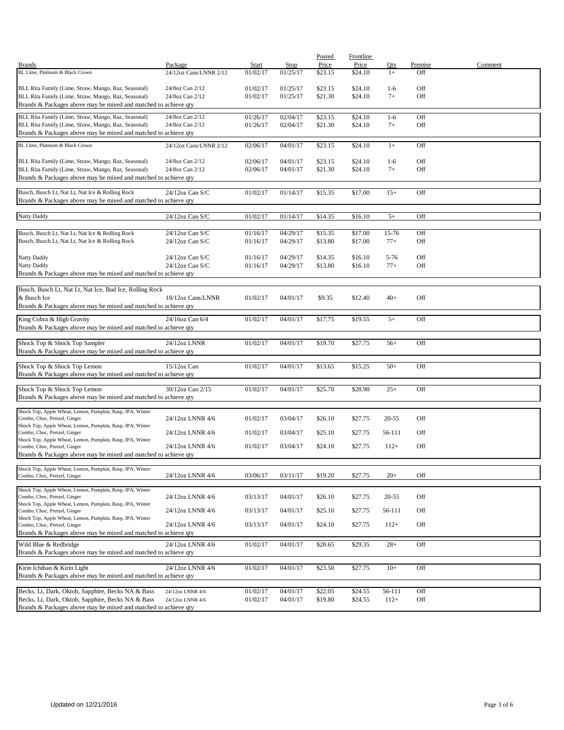|                                                                                                                        |                        |              |          | Posted  | Frontline |               |            |         |
|------------------------------------------------------------------------------------------------------------------------|------------------------|--------------|----------|---------|-----------|---------------|------------|---------|
| <b>Brands</b>                                                                                                          | Package                | <b>Start</b> | Stop     | Price   | Price     | Qty           | Premise    | Comment |
| BL Lime, Platinum & Black Crown                                                                                        | 24/12oz Cans/LNNR 2/12 | 01/02/17     | 01/25/17 | \$23.15 | \$24.10   | $1+$          | Off        |         |
|                                                                                                                        |                        |              |          |         |           |               |            |         |
| BLL Rita Family (Lime, Straw, Mango, Raz, Seasonal)                                                                    | 24/8oz Can 2/12        | 01/02/17     | 01/25/17 | \$23.15 | \$24.10   | $1-6$<br>$7+$ | Off<br>Off |         |
| BLL Rita Family (Lime, Straw, Mango, Raz, Seasonal)<br>Brands & Packages above may be mixed and matched to achieve qty | 24/8oz Can 2/12        | 01/02/17     | 01/25/17 | \$21.30 | \$24.10   |               |            |         |
|                                                                                                                        |                        |              |          |         |           |               |            |         |
| BLL Rita Family (Lime, Straw, Mango, Raz, Seasonal)                                                                    | 24/8oz Can 2/12        | 01/26/17     | 02/04/17 | \$23.15 | \$24.10   | $1-6$         | Off        |         |
| BLL Rita Family (Lime, Straw, Mango, Raz, Seasonal)                                                                    | 24/8oz Can 2/12        | 01/26/17     | 02/04/17 | \$21.30 | \$24.10   | $7+$          | Off        |         |
| Brands & Packages above may be mixed and matched to achieve qty                                                        |                        |              |          |         |           |               |            |         |
| BL Lime, Platinum & Black Crown                                                                                        | 24/12oz Cans/LNNR 2/12 | 02/06/17     | 04/01/17 | \$23.15 | \$24.10   | $1+$          | Off        |         |
|                                                                                                                        |                        |              |          |         |           |               |            |         |
| BLL Rita Family (Lime, Straw, Mango, Raz, Seasonal)                                                                    | 24/8oz Can 2/12        | 02/06/17     | 04/01/17 | \$23.15 | \$24.10   | $1-6$         | Off        |         |
| BLL Rita Family (Lime, Straw, Mango, Raz, Seasonal)                                                                    | 24/8oz Can 2/12        | 02/06/17     | 04/01/17 | \$21.30 | \$24.10   | $7+$          | Off        |         |
| Brands & Packages above may be mixed and matched to achieve qty                                                        |                        |              |          |         |           |               |            |         |
| Busch, Busch Lt, Nat Lt, Nat Ice & Rolling Rock                                                                        | 24/12oz Can S/C        | 01/02/17     | 01/14/17 | \$15.35 | \$17.00   | $15+$         | Off        |         |
| Brands & Packages above may be mixed and matched to achieve qty                                                        |                        |              |          |         |           |               |            |         |
|                                                                                                                        |                        |              |          |         |           |               |            |         |
| Natty Daddy                                                                                                            | 24/12oz Can S/C        | 01/02/17     | 01/14/17 | \$14.35 | \$16.10   | $5+$          | Off        |         |
|                                                                                                                        |                        |              |          |         |           |               |            |         |
| Busch, Busch Lt, Nat Lt, Nat Ice & Rolling Rock                                                                        | 24/12oz Can S/C        | 01/16/17     | 04/29/17 | \$15.35 | \$17.00   | 15-76         | Off        |         |
| Busch, Busch Lt, Nat Lt, Nat Ice & Rolling Rock                                                                        | 24/12oz Can S/C        | 01/16/17     | 04/29/17 | \$13.80 | \$17.00   | $77+$         | Off        |         |
|                                                                                                                        |                        |              |          |         |           |               |            |         |
| <b>Natty Daddy</b>                                                                                                     | $24/12$ oz Can S/C     | 01/16/17     | 04/29/17 | \$14.35 | \$16.10   | $5 - 76$      | Off        |         |
| <b>Natty Daddy</b><br>Brands & Packages above may be mixed and matched to achieve qty                                  | 24/12oz Can S/C        | 01/16/17     | 04/29/17 | \$13.80 | \$16.10   | $77+$         | Off        |         |
|                                                                                                                        |                        |              |          |         |           |               |            |         |
| Busch, Busch Lt, Nat Lt, Nat Ice, Bud Ice, Rolling Rock                                                                |                        |              |          |         |           |               |            |         |
| & Busch Ice                                                                                                            | 18/12oz Cans/LNNR      | 01/02/17     | 04/01/17 | \$9.35  | \$12.40   | $40+$         | Off        |         |
| Brands & Packages above may be mixed and matched to achieve qty                                                        |                        |              |          |         |           |               |            |         |
|                                                                                                                        |                        |              |          |         |           |               |            |         |
| King Cobra & High Gravity                                                                                              | 24/16oz Can 6/4        | 01/02/17     | 04/01/17 | \$17.75 | \$19.55   | $5+$          | Off        |         |
| Brands & Packages above may be mixed and matched to achieve qty                                                        |                        |              |          |         |           |               |            |         |
| Shock Top & Shock Top Sampler                                                                                          | 24/12oz LNNR           | 01/02/17     | 04/01/17 | \$19.70 | \$27.75   | $56+$         | Off        |         |
| Brands & Packages above may be mixed and matched to achieve qty                                                        |                        |              |          |         |           |               |            |         |
|                                                                                                                        |                        |              |          |         |           |               |            |         |
| Shock Top & Shock Top Lemon                                                                                            | 15/12oz Can            | 01/02/17     | 04/01/17 | \$13.65 | \$15.25   | $50+$         | Off        |         |
| Brands & Packages above may be mixed and matched to achieve qty                                                        |                        |              |          |         |           |               |            |         |
| Shock Top & Shock Top Lemon                                                                                            | 30/12oz Can 2/15       | 01/02/17     | 04/01/17 | \$25.70 | \$28.90   | $25+$         | Off        |         |
| Brands & Packages above may be mixed and matched to achieve qty                                                        |                        |              |          |         |           |               |            |         |
|                                                                                                                        |                        |              |          |         |           |               |            |         |
| Shock Top, Apple Wheat, Lemon, Pumpkin, Rasp, IPA, Winter                                                              |                        |              |          |         |           |               |            |         |
| Combo, Choc, Pretzel, Ginger                                                                                           | 24/12oz LNNR 4/6       | 01/02/17     | 03/04/17 | \$26.10 | \$27.75   | $20 - 55$     | Off        |         |
| Shock Top, Apple Wheat, Lemon, Pumpkin, Rasp, IPA, Winter<br>Combo, Choc, Pretzel, Ginger                              | 24/12oz LNNR 4/6       | 01/02/17     | 03/04/17 | \$25.10 | \$27.75   | 56-111        | Off        |         |
| Shock Top, Apple Wheat, Lemon, Pumpkin, Rasp, IPA, Winter                                                              |                        |              |          |         |           |               |            |         |
| Combo, Choc, Pretzel, Ginger                                                                                           | 24/12oz LNNR 4/6       | 01/02/17     | 03/04/17 | \$24.10 | \$27.75   | $112+$        | Off        |         |
| Brands & Packages above may be mixed and matched to achieve qty                                                        |                        |              |          |         |           |               |            |         |
| Shock Top, Apple Wheat, Lemon, Pumpkin, Rasp, IPA, Winter                                                              |                        |              |          |         |           |               |            |         |
| Combo, Choc, Pretzel, Ginger                                                                                           | 24/12oz LNNR 4/6       | 03/06/17     | 03/11/17 | \$19.20 | \$27.75   | $20+$         | Off        |         |
|                                                                                                                        |                        |              |          |         |           |               |            |         |
| Shock Top, Apple Wheat, Lemon, Pumpkin, Rasp, IPA, Winter<br>Combo, Choc, Pretzel, Ginger                              | 24/12oz LNNR 4/6       | 03/13/17     | 04/01/17 | \$26.10 | \$27.75   | $20 - 55$     | Off        |         |
| Shock Top, Apple Wheat, Lemon, Pumpkin, Rasp, IPA, Winter                                                              |                        |              |          |         |           |               |            |         |
| Combo, Choc, Pretzel, Ginger                                                                                           | 24/12oz LNNR 4/6       | 03/13/17     | 04/01/17 | \$25.10 | \$27.75   | 56-111        | Off        |         |
| Shock Top, Apple Wheat, Lemon, Pumpkin, Rasp, IPA, Winter                                                              |                        |              |          |         |           |               |            |         |
| Combo, Choc, Pretzel, Ginger<br>Brands & Packages above may be mixed and matched to achieve qty                        | 24/12oz LNNR 4/6       | 03/13/17     | 04/01/17 | \$24.10 | \$27.75   | $112+$        | Off        |         |
|                                                                                                                        |                        |              |          |         |           |               |            |         |
| Wild Blue & Redbridge                                                                                                  | 24/12oz LNNR 4/6       | 01/02/17     | 04/01/17 | \$28.65 | \$29.35   | $28+$         | Off        |         |
| Brands & Packages above may be mixed and matched to achieve qty                                                        |                        |              |          |         |           |               |            |         |
| Kirin Ichiban & Kirin Light                                                                                            | 24/12oz LNNR 4/6       | 01/02/17     | 04/01/17 | \$23.50 | \$27.75   | $10+$         | Off        |         |
| Brands & Packages above may be mixed and matched to achieve qty                                                        |                        |              |          |         |           |               |            |         |
|                                                                                                                        |                        |              |          |         |           |               |            |         |
| Becks, Lt, Dark, Oktob, Sapphire, Becks NA & Bass                                                                      | 24/12oz LNNR 4/6       | 01/02/17     | 04/01/17 | \$22.05 | \$24.55   | 56-111        | Off        |         |
| Becks, Lt, Dark, Oktob, Sapphire, Becks NA & Bass                                                                      | 24/12oz LNNR 4/6       | 01/02/17     | 04/01/17 | \$19.80 | \$24.55   | $112+$        | Off        |         |
| Brands & Packages above may be mixed and matched to achieve qty                                                        |                        |              |          |         |           |               |            |         |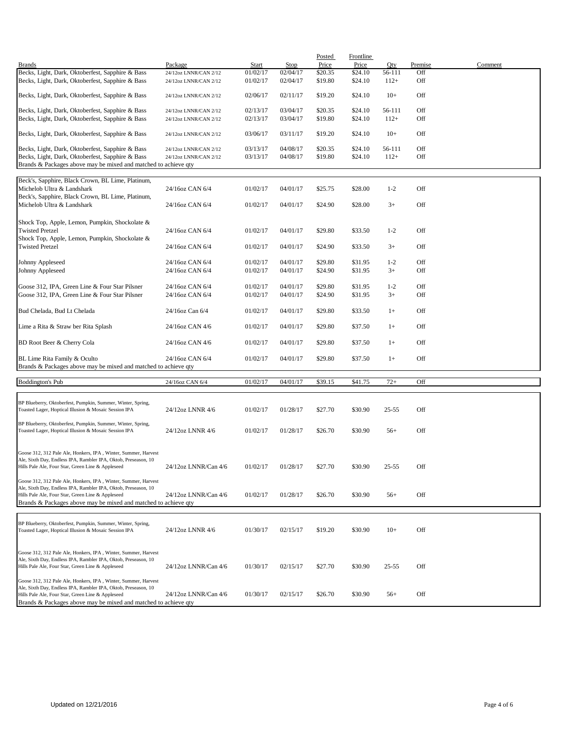|                                                                                                                      |                                                |                      |                      | Posted             | <b>Frontline</b>   |                  |            |         |
|----------------------------------------------------------------------------------------------------------------------|------------------------------------------------|----------------------|----------------------|--------------------|--------------------|------------------|------------|---------|
| <b>Brands</b>                                                                                                        | Package                                        | Start                | Stop                 | Price              | Price              | Qty              | Premise    | Comment |
| Becks, Light, Dark, Oktoberfest, Sapphire & Bass<br>Becks, Light, Dark, Oktoberfest, Sapphire & Bass                 | 24/12oz LNNR/CAN 2/12<br>24/12oz LNNR/CAN 2/12 | 01/02/17<br>01/02/17 | 02/04/17<br>02/04/17 | \$20.35<br>\$19.80 | \$24.10<br>\$24.10 | 56-111<br>$112+$ | Off<br>Off |         |
| Becks, Light, Dark, Oktoberfest, Sapphire & Bass                                                                     | 24/12oz LNNR/CAN 2/12                          | 02/06/17             | 02/11/17             | \$19.20            | \$24.10            | $10+$            | Off        |         |
| Becks, Light, Dark, Oktoberfest, Sapphire & Bass                                                                     | 24/12oz LNNR/CAN 2/12                          | 02/13/17             | 03/04/17             | \$20.35            | \$24.10            | 56-111           | Off        |         |
| Becks, Light, Dark, Oktoberfest, Sapphire & Bass                                                                     | 24/12oz LNNR/CAN 2/12                          | 02/13/17             | 03/04/17             | \$19.80            | \$24.10            | $112+$           | Off        |         |
|                                                                                                                      |                                                |                      |                      |                    |                    |                  |            |         |
| Becks, Light, Dark, Oktoberfest, Sapphire & Bass                                                                     | 24/12oz LNNR/CAN 2/12                          | 03/06/17             | 03/11/17             | \$19.20            | \$24.10            | $10+$            | Off        |         |
| Becks, Light, Dark, Oktoberfest, Sapphire & Bass                                                                     | 24/12oz LNNR/CAN 2/12                          | 03/13/17             | 04/08/17             | \$20.35            | \$24.10            | 56-111           | Off        |         |
| Becks, Light, Dark, Oktoberfest, Sapphire & Bass                                                                     | 24/12oz LNNR/CAN 2/12                          | 03/13/17             | 04/08/17             | \$19.80            | \$24.10            | $112+$           | Off        |         |
| Brands & Packages above may be mixed and matched to achieve qty                                                      |                                                |                      |                      |                    |                    |                  |            |         |
|                                                                                                                      |                                                |                      |                      |                    |                    |                  |            |         |
| Beck's, Sapphire, Black Crown, BL Lime, Platinum,                                                                    |                                                |                      |                      |                    |                    |                  |            |         |
| Michelob Ultra & Landshark                                                                                           | 24/16oz CAN 6/4                                | 01/02/17             | 04/01/17             | \$25.75            | \$28.00            | $1 - 2$          | Off        |         |
| Beck's, Sapphire, Black Crown, BL Lime, Platinum,                                                                    |                                                |                      |                      |                    |                    |                  |            |         |
| Michelob Ultra & Landshark                                                                                           | 24/16oz CAN 6/4                                | 01/02/17             | 04/01/17             | \$24.90            | \$28.00            | $3+$             | Off        |         |
|                                                                                                                      |                                                |                      |                      |                    |                    |                  |            |         |
|                                                                                                                      |                                                |                      |                      |                    |                    |                  |            |         |
| Shock Top, Apple, Lemon, Pumpkin, Shockolate &                                                                       |                                                |                      |                      |                    |                    |                  |            |         |
| <b>Twisted Pretzel</b>                                                                                               | 24/16oz CAN 6/4                                | 01/02/17             | 04/01/17             | \$29.80            | \$33.50            | $1 - 2$          | Off        |         |
| Shock Top, Apple, Lemon, Pumpkin, Shockolate &                                                                       |                                                |                      |                      |                    |                    |                  |            |         |
| <b>Twisted Pretzel</b>                                                                                               | 24/16oz CAN 6/4                                | 01/02/17             | 04/01/17             | \$24.90            | \$33.50            | $3+$             | Off        |         |
|                                                                                                                      |                                                |                      |                      |                    |                    |                  |            |         |
| Johnny Appleseed                                                                                                     | 24/16oz CAN 6/4                                | 01/02/17             | 04/01/17             | \$29.80            | \$31.95            | $1 - 2$          | Off        |         |
| Johnny Appleseed                                                                                                     | 24/16oz CAN 6/4                                | 01/02/17             | 04/01/17             | \$24.90            | \$31.95            | $3+$             | Off        |         |
|                                                                                                                      |                                                |                      |                      |                    |                    |                  |            |         |
| Goose 312, IPA, Green Line & Four Star Pilsner                                                                       | 24/16oz CAN 6/4                                | 01/02/17             | 04/01/17             | \$29.80            | \$31.95            | $1 - 2$          | Off        |         |
| Goose 312, IPA, Green Line & Four Star Pilsner                                                                       | 24/16oz CAN 6/4                                | 01/02/17             | 04/01/17             | \$24.90            | \$31.95            | $3+$             | Off        |         |
|                                                                                                                      |                                                |                      |                      |                    |                    |                  |            |         |
| Bud Chelada, Bud Lt Chelada                                                                                          | 24/16oz Can 6/4                                | 01/02/17             | 04/01/17             | \$29.80            | \$33.50            | $1+$             | Off        |         |
| Lime a Rita & Straw ber Rita Splash                                                                                  | 24/16oz CAN 4/6                                | 01/02/17             | 04/01/17             | \$29.80            | \$37.50            | $1+$             | Off        |         |
|                                                                                                                      |                                                |                      |                      |                    |                    |                  |            |         |
| BD Root Beer & Cherry Cola                                                                                           | 24/16oz CAN 4/6                                | 01/02/17             | 04/01/17             | \$29.80            | \$37.50            | $1+$             | Off        |         |
| BL Lime Rita Family & Oculto                                                                                         | 24/16oz CAN 6/4                                | 01/02/17             | 04/01/17             | \$29.80            | \$37.50            | $1+$             | Off        |         |
| Brands & Packages above may be mixed and matched to achieve qty                                                      |                                                |                      |                      |                    |                    |                  |            |         |
|                                                                                                                      |                                                |                      |                      |                    |                    |                  |            |         |
| <b>Boddington's Pub</b>                                                                                              | 24/16oz CAN 6/4                                | 01/02/17             | 04/01/17             | \$39.15            | \$41.75            | $72+$            | Off        |         |
|                                                                                                                      |                                                |                      |                      |                    |                    |                  |            |         |
|                                                                                                                      |                                                |                      |                      |                    |                    |                  |            |         |
| BP Blueberry, Oktoberfest, Pumpkin, Summer, Winter, Spring,                                                          |                                                |                      |                      |                    |                    |                  |            |         |
| Toasted Lager, Hoptical Illusion & Mosaic Session IPA                                                                | 24/12oz LNNR 4/6                               | 01/02/17             | 01/28/17             | \$27.70            | \$30.90            | $25 - 55$        | Off        |         |
|                                                                                                                      |                                                |                      |                      |                    |                    |                  |            |         |
| BP Blueberry, Oktoberfest, Pumpkin, Summer, Winter, Spring,                                                          |                                                | 01/02/17             | 01/28/17             |                    |                    |                  | Off        |         |
| Toasted Lager, Hoptical Illusion & Mosaic Session IPA                                                                | 24/12oz LNNR 4/6                               |                      |                      | \$26.70            | \$30.90            | $56+$            |            |         |
|                                                                                                                      |                                                |                      |                      |                    |                    |                  |            |         |
| Goose 312, 312 Pale Ale, Honkers, IPA, Winter, Summer, Harvest                                                       |                                                |                      |                      |                    |                    |                  |            |         |
| Ale, Sixth Day, Endless IPA, Rambler IPA, Oktob, Preseason, 10                                                       |                                                |                      |                      |                    |                    |                  |            |         |
| Hills Pale Ale, Four Star, Green Line & Appleseed                                                                    | 24/12oz LNNR/Can 4/6                           | 01/02/17             | 01/28/17             | \$27.70            | \$30.90            | $25 - 55$        | Off        |         |
|                                                                                                                      |                                                |                      |                      |                    |                    |                  |            |         |
| Goose 312, 312 Pale Ale, Honkers, IPA, Winter, Summer, Harvest                                                       |                                                |                      |                      |                    |                    |                  |            |         |
| Ale, Sixth Day, Endless IPA, Rambler IPA, Oktob, Preseason, 10                                                       |                                                |                      |                      |                    |                    |                  |            |         |
| Hills Pale Ale, Four Star, Green Line & Appleseed                                                                    | 24/12oz LNNR/Can 4/6                           | 01/02/17             | 01/28/17             | \$26.70            | \$30.90            | $56+$            | Off        |         |
| Brands & Packages above may be mixed and matched to achieve gty                                                      |                                                |                      |                      |                    |                    |                  |            |         |
|                                                                                                                      |                                                |                      |                      |                    |                    |                  |            |         |
| BP Blueberry, Oktoberfest, Pumpkin, Summer, Winter, Spring,                                                          |                                                |                      |                      |                    |                    |                  |            |         |
| Toasted Lager, Hoptical Illusion & Mosaic Session IPA                                                                | 24/12oz LNNR 4/6                               | 01/30/17             | 02/15/17             | \$19.20            | \$30.90            | $10+$            | Off        |         |
|                                                                                                                      |                                                |                      |                      |                    |                    |                  |            |         |
|                                                                                                                      |                                                |                      |                      |                    |                    |                  |            |         |
| Goose 312, 312 Pale Ale, Honkers, IPA, Winter, Summer, Harvest                                                       |                                                |                      |                      |                    |                    |                  |            |         |
| Ale, Sixth Day, Endless IPA, Rambler IPA, Oktob, Preseason, 10                                                       |                                                |                      |                      |                    |                    |                  |            |         |
| Hills Pale Ale, Four Star, Green Line & Appleseed                                                                    | 24/12oz LNNR/Can 4/6                           | 01/30/17             | 02/15/17             | \$27.70            | \$30.90            | 25-55            | Off        |         |
|                                                                                                                      |                                                |                      |                      |                    |                    |                  |            |         |
| Goose 312, 312 Pale Ale, Honkers, IPA, Winter, Summer, Harvest                                                       |                                                |                      |                      |                    |                    |                  |            |         |
| Ale, Sixth Day, Endless IPA, Rambler IPA, Oktob, Preseason, 10                                                       |                                                |                      |                      |                    |                    |                  |            |         |
| Hills Pale Ale, Four Star, Green Line & Appleseed<br>Brands & Packages above may be mixed and matched to achieve qty | 24/12oz LNNR/Can 4/6                           | 01/30/17             | 02/15/17             | \$26.70            | \$30.90            | $56+$            | Off        |         |
|                                                                                                                      |                                                |                      |                      |                    |                    |                  |            |         |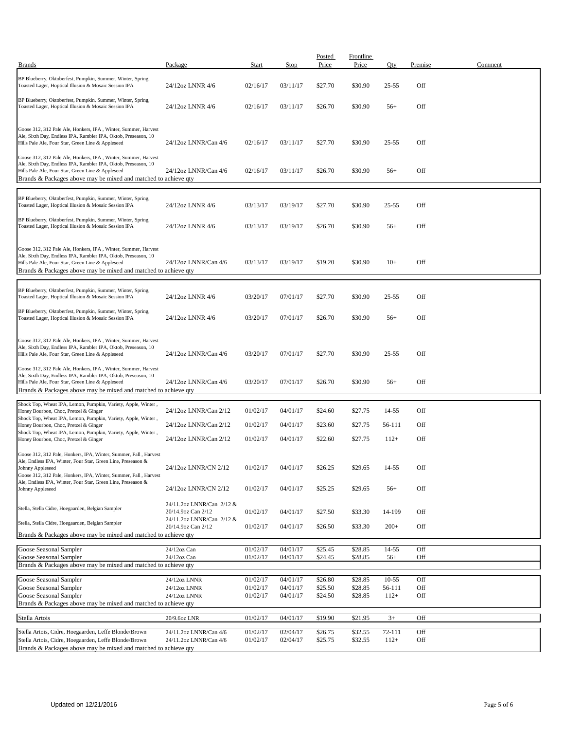| <b>Brands</b>                                                                                                                                                                                                                                            | Package                                         | Start                | Stop                 | Posted<br>Price    | Frontline<br>Price | Qty              | Premise    | Comment |
|----------------------------------------------------------------------------------------------------------------------------------------------------------------------------------------------------------------------------------------------------------|-------------------------------------------------|----------------------|----------------------|--------------------|--------------------|------------------|------------|---------|
|                                                                                                                                                                                                                                                          |                                                 |                      |                      |                    |                    |                  |            |         |
| BP Blueberry, Oktoberfest, Pumpkin, Summer, Winter, Spring,<br>Toasted Lager, Hoptical Illusion & Mosaic Session IPA                                                                                                                                     | 24/12oz LNNR 4/6                                | 02/16/17             | 03/11/17             | \$27.70            | \$30.90            | $25 - 55$        | Off        |         |
| BP Blueberry, Oktoberfest, Pumpkin, Summer, Winter, Spring,<br>Toasted Lager, Hoptical Illusion & Mosaic Session IPA                                                                                                                                     | 24/12oz LNNR 4/6                                | 02/16/17             | 03/11/17             | \$26.70            | \$30.90            | $56+$            | Off        |         |
| Goose 312, 312 Pale Ale, Honkers, IPA, Winter, Summer, Harvest<br>Ale, Sixth Day, Endless IPA, Rambler IPA, Oktob, Preseason, 10<br>Hills Pale Ale, Four Star, Green Line & Appleseed                                                                    | 24/12oz LNNR/Can 4/6                            | 02/16/17             | 03/11/17             | \$27.70            | \$30.90            | $25 - 55$        | Off        |         |
| Goose 312, 312 Pale Ale, Honkers, IPA, Winter, Summer, Harvest<br>Ale, Sixth Day, Endless IPA, Rambler IPA, Oktob, Preseason, 10<br>Hills Pale Ale, Four Star, Green Line & Appleseed<br>Brands & Packages above may be mixed and matched to achieve qty | 24/12oz LNNR/Can 4/6                            | 02/16/17             | 03/11/17             | \$26.70            | \$30.90            | $56+$            | Off        |         |
| BP Blueberry, Oktoberfest, Pumpkin, Summer, Winter, Spring,<br>Toasted Lager, Hoptical Illusion & Mosaic Session IPA                                                                                                                                     | 24/12oz LNNR 4/6                                | 03/13/17             | 03/19/17             | \$27.70            | \$30.90            | $25 - 55$        | Off        |         |
| BP Blueberry, Oktoberfest, Pumpkin, Summer, Winter, Spring,<br>Toasted Lager, Hoptical Illusion & Mosaic Session IPA                                                                                                                                     | 24/12oz LNNR 4/6                                | 03/13/17             | 03/19/17             | \$26.70            | \$30.90            | $56+$            | Off        |         |
| Goose 312, 312 Pale Ale, Honkers, IPA, Winter, Summer, Harvest<br>Ale, Sixth Day, Endless IPA, Rambler IPA, Oktob, Preseason, 10<br>Hills Pale Ale, Four Star, Green Line & Appleseed<br>Brands & Packages above may be mixed and matched to achieve qty | 24/12oz LNNR/Can 4/6                            | 03/13/17             | 03/19/17             | \$19.20            | \$30.90            | $10+$            | Off        |         |
| BP Blueberry, Oktoberfest, Pumpkin, Summer, Winter, Spring,<br>Toasted Lager, Hoptical Illusion & Mosaic Session IPA                                                                                                                                     | 24/12oz LNNR 4/6                                | 03/20/17             | 07/01/17             | \$27.70            | \$30.90            | $25 - 55$        | Off        |         |
| BP Blueberry, Oktoberfest, Pumpkin, Summer, Winter, Spring,<br>Toasted Lager, Hoptical Illusion & Mosaic Session IPA                                                                                                                                     | 24/12oz LNNR 4/6                                | 03/20/17             | 07/01/17             | \$26.70            | \$30.90            | $56+$            | Off        |         |
| Goose 312, 312 Pale Ale, Honkers, IPA, Winter, Summer, Harvest<br>Ale, Sixth Day, Endless IPA, Rambler IPA, Oktob, Preseason, 10<br>Hills Pale Ale, Four Star, Green Line & Appleseed                                                                    | 24/12oz LNNR/Can 4/6                            | 03/20/17             | 07/01/17             | \$27.70            | \$30.90            | $25 - 55$        | Off        |         |
| Goose 312, 312 Pale Ale, Honkers, IPA, Winter, Summer, Harvest<br>Ale, Sixth Day, Endless IPA, Rambler IPA, Oktob, Preseason, 10<br>Hills Pale Ale, Four Star, Green Line & Appleseed<br>Brands & Packages above may be mixed and matched to achieve qty | 24/12oz LNNR/Can 4/6                            | 03/20/17             | 07/01/17             | \$26.70            | \$30.90            | $56+$            | Off        |         |
| Shock Top, Wheat IPA, Lemon, Pumpkin, Variety, Apple, Winter,                                                                                                                                                                                            |                                                 |                      |                      |                    |                    |                  |            |         |
| Honey Bourbon, Choc, Pretzel & Ginger<br>Shock Top, Wheat IPA, Lemon, Pumpkin, Variety, Apple, Winter,                                                                                                                                                   | 24/12oz LNNR/Can 2/12                           | 01/02/17             | 04/01/17             | \$24.60            | \$27.75            | 14-55            | Off        |         |
| Honey Bourbon, Choc, Pretzel & Ginger                                                                                                                                                                                                                    | 24/12oz LNNR/Can 2/12                           | 01/02/17             | 04/01/17             | \$23.60            | \$27.75            | 56-111           | Off        |         |
| Shock Top, Wheat IPA, Lemon, Pumpkin, Variety, Apple, Winter,<br>Honey Bourbon, Choc, Pretzel & Ginger                                                                                                                                                   | 24/12oz LNNR/Can 2/12                           | 01/02/17             | 04/01/17             | \$22.60            | \$27.75            | $112+$           | Off        |         |
| Goose 312, 312 Pale, Honkers, IPA, Winter, Summer, Fall, Harvest<br>Ale, Endless IPA, Winter, Four Star, Green Line, Preseason &<br>Johnny Appleseed<br>Goose 312, 312 Pale, Honkers, IPA, Winter, Summer, Fall, Harvest                                 | 24/12oz LNNR/CN 2/12                            | 01/02/17             | 04/01/17             | \$26.25            | \$29.65            | 14-55            | Off        |         |
| Ale, Endless IPA, Winter, Four Star, Green Line, Preseason &<br>Johnny Appleseed                                                                                                                                                                         | 24/12oz LNNR/CN 2/12                            | 01/02/17             | 04/01/17             | \$25.25            | \$29.65            | $56+$            | Off        |         |
| Stella, Stella Cidre, Hoegaarden, Belgian Sampler                                                                                                                                                                                                        | 24/11.2oz LNNR/Can 2/12 &<br>20/14.9oz Can 2/12 | 01/02/17             | 04/01/17             | \$27.50            | \$33.30            | 14-199           | Off        |         |
| Stella, Stella Cidre, Hoegaarden, Belgian Sampler                                                                                                                                                                                                        | 24/11.2oz LNNR/Can 2/12 &<br>20/14.9oz Can 2/12 | 01/02/17             | 04/01/17             | \$26.50            | \$33.30            | $200+$           | Off        |         |
| Brands & Packages above may be mixed and matched to achieve qty                                                                                                                                                                                          |                                                 |                      |                      |                    |                    |                  |            |         |
| Goose Seasonal Sampler                                                                                                                                                                                                                                   | 24/12oz Can                                     | 01/02/17             | 04/01/17             | \$25.45            | \$28.85            | $14 - 55$        | Off        |         |
| Goose Seasonal Sampler                                                                                                                                                                                                                                   | 24/12oz Can                                     | 01/02/17             | 04/01/17             | \$24.45            | \$28.85            | $56+$            | Off        |         |
| Brands & Packages above may be mixed and matched to achieve qty                                                                                                                                                                                          |                                                 |                      |                      |                    |                    |                  |            |         |
| Goose Seasonal Sampler                                                                                                                                                                                                                                   | 24/12oz LNNR                                    | 01/02/17             | 04/01/17             | \$26.80            | \$28.85            | 10-55            | Off        |         |
| Goose Seasonal Sampler<br>Goose Seasonal Sampler                                                                                                                                                                                                         | 24/12oz LNNR<br>24/12oz LNNR                    | 01/02/17<br>01/02/17 | 04/01/17<br>04/01/17 | \$25.50<br>\$24.50 | \$28.85<br>\$28.85 | 56-111<br>$112+$ | Off<br>Off |         |
| Brands & Packages above may be mixed and matched to achieve qty                                                                                                                                                                                          |                                                 |                      |                      |                    |                    |                  |            |         |
| Stella Artois                                                                                                                                                                                                                                            | 20/9.6oz LNR                                    | 01/02/17             | 04/01/17             | \$19.90            | \$21.95            | $3+$             | Off        |         |
| Stella Artois, Cidre, Hoegaarden, Leffe Blonde/Brown                                                                                                                                                                                                     | 24/11.2oz LNNR/Can 4/6                          | 01/02/17             | 02/04/17             | \$26.75            | \$32.55            | 72-111           | Off        |         |
| Stella Artois, Cidre, Hoegaarden, Leffe Blonde/Brown                                                                                                                                                                                                     | 24/11.2oz LNNR/Can 4/6                          | 01/02/17             | 02/04/17             | \$25.75            | \$32.55            | $112+$           | Off        |         |
| Brands & Packages above may be mixed and matched to achieve qty                                                                                                                                                                                          |                                                 |                      |                      |                    |                    |                  |            |         |